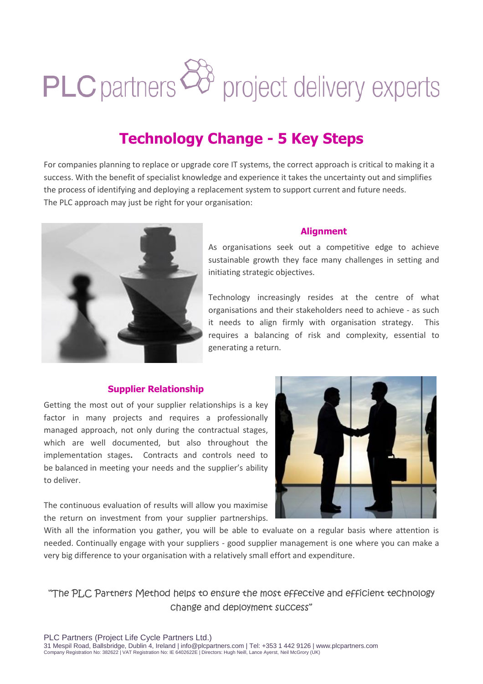# PLC partners  $\overleftrightarrow{\mathcal{O}}$  project delivery experts

# **Technology Change - 5 Key Steps**

For companies planning to replace or upgrade core IT systems, the correct approach is critical to making it a success. With the benefit of specialist knowledge and experience it takes the uncertainty out and simplifies the process of identifying and deploying a replacement system to support current and future needs. The PLC approach may just be right for your organisation:



### **Alignment**

As organisations seek out a competitive edge to achieve sustainable growth they face many challenges in setting and initiating strategic objectives.

Technology increasingly resides at the centre of what organisations and their stakeholders need to achieve - as such it needs to align firmly with organisation strategy. This requires a balancing of risk and complexity, essential to generating a return.

## **Supplier Relationship**

Getting the most out of your supplier relationships is a key factor in many projects and requires a professionally managed approach, not only during the contractual stages, which are well documented, but also throughout the implementation stages**.** Contracts and controls need to be balanced in meeting your needs and the supplier's ability to deliver.

The continuous evaluation of results will allow you maximise the return on investment from your supplier partnerships.



With all the information you gather, you will be able to evaluate on a regular basis where attention is needed. Continually engage with your suppliers - good supplier management is one where you can make a very big difference to your organisation with a relatively small effort and expenditure.

"The PLC Partners Method helps to ensure the most effective and efficient technology change and deployment success"